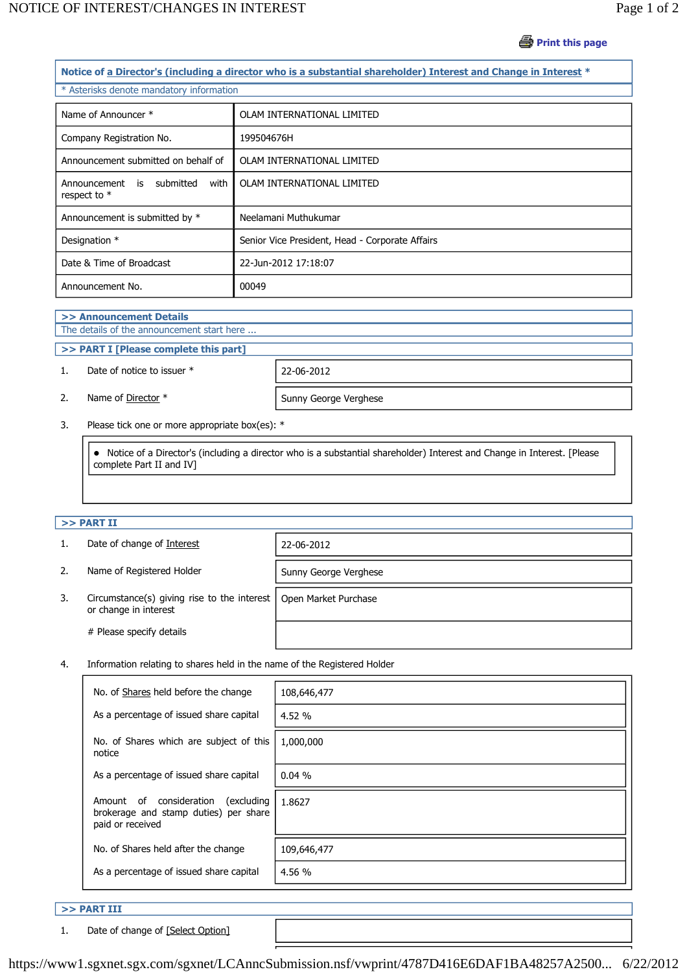# **Print this page**

| Notice of a Director's (including a director who is a substantial shareholder) Interest and Change in Interest * |                                                 |  |  |  |
|------------------------------------------------------------------------------------------------------------------|-------------------------------------------------|--|--|--|
| * Asterisks denote mandatory information                                                                         |                                                 |  |  |  |
| Name of Announcer *                                                                                              | OLAM INTERNATIONAL LIMITED                      |  |  |  |
| Company Registration No.                                                                                         | 199504676H                                      |  |  |  |
| Announcement submitted on behalf of                                                                              | OLAM INTERNATIONAL LIMITED                      |  |  |  |
| Announcement<br>is submitted<br>with<br>respect to *                                                             | OLAM INTERNATIONAL LIMITED                      |  |  |  |
| Announcement is submitted by *                                                                                   | Neelamani Muthukumar                            |  |  |  |
| Designation *                                                                                                    | Senior Vice President, Head - Corporate Affairs |  |  |  |
| Date & Time of Broadcast                                                                                         | 22-Jun-2012 17:18:07                            |  |  |  |
| Announcement No.                                                                                                 | 00049                                           |  |  |  |

## **>> Announcement Details**

# The details of the announcement start here ...

## **>> PART I [Please complete this part]**

### 1. Date of notice to issuer \* 22-06-2012



2. Name of Director \* Sunny George Verghese

3. Please tick one or more appropriate box(es): \*

 Notice of a Director's (including a director who is a substantial shareholder) Interest and Change in Interest. [Please complete Part II and IV]

#### **>> PART II**

| 1. | Date of change of Interest                                           | 22-06-2012            |
|----|----------------------------------------------------------------------|-----------------------|
| 2. | Name of Registered Holder                                            | Sunny George Verghese |
| 3. | Circumstance(s) giving rise to the interest<br>or change in interest | Open Market Purchase  |
|    | # Please specify details                                             |                       |

4. Information relating to shares held in the name of the Registered Holder

| No. of Shares held before the change                                                                   | 108,646,477 |
|--------------------------------------------------------------------------------------------------------|-------------|
| As a percentage of issued share capital                                                                | 4.52%       |
| No. of Shares which are subject of this<br>notice                                                      | 1,000,000   |
| As a percentage of issued share capital                                                                | 0.04%       |
| consideration<br>(excluding)<br>Amount of<br>brokerage and stamp duties) per share<br>paid or received | 1.8627      |
| No. of Shares held after the change                                                                    | 109,646,477 |
| As a percentage of issued share capital                                                                | 4.56 %      |

### **>> PART III**

1. Date of change of [Select Option]